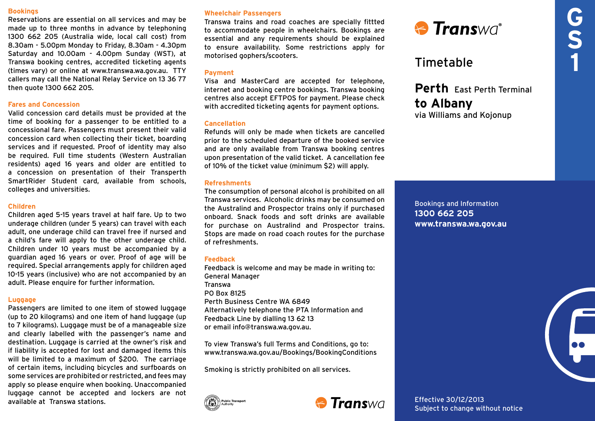#### **Bookings**

Reservations are essential on all services and may be made up to three months in advance by telephoning 1300 662 205 (Australia wide, local call cost) from 8.30am - 5.00pm Monday to Friday, 8.30am - 4.30pm Saturday and 10.00am - 4.00pm Sunday (WST), at Transwa booking centres, accredited ticketing agents (times vary) or online at www.transwa.wa.gov.au. TTY callers may call the National Relay Service on 13 36 77 then quote 1300 662 205.

# **Fares and Concession**

Valid concession card details must be provided at the time of booking for a passenger to be entitled to a concessional fare. Passengers must present their valid concession card when collecting their ticket, boarding services and if requested. Proof of identity may also be required. Full time students (Western Australian residents) aged 16 years and older are entitled to a concession on presentation of their Transperth SmartRider Student card, available from schools, colleges and universities.

# **Children**

Children aged 5-15 years travel at half fare. Up to two underage children (under 5 years) can travel with each adult, one underage child can travel free if nursed and a child's fare will apply to the other underage child. Children under 10 years must be accompanied by a guardian aged 16 years or over. Proof of age will be required. Special arrangements apply for children aged 10-15 years (inclusive) who are not accompanied by an adult. Please enquire for further information.

#### **Luggage**

Passengers are limited to one item of stowed luggage (up to 20 kilograms) and one item of hand luggage (up to 7 kilograms). Luggage must be of a manageable size and clearly labelled with the passenger's name and destination. Luggage is carried at the owner's risk and if liability is accepted for lost and damaged items this will be limited to a maximum of \$200. The carriage of certain items, including bicycles and surfboards on some services are prohibited or restricted, and fees may apply so please enquire when booking. Unaccompanied luggage cannot be accepted and lockers are not available at Transwa stations.

# **Wheelchair Passengers**

Transwa trains and road coaches are specially fittted to accommodate people in wheelchairs. Bookings are essential and any requirements should be explained to ensure availability. Some restrictions apply for motorised gophers/scooters.

# **Payment**

Visa and MasterCard are accepted for telephone, internet and booking centre bookings. Transwa booking centres also accept EFTPOS for payment. Please check with accredited ticketing agents for payment options.

### **Cancellation**

Refunds will only be made when tickets are cancelled prior to the scheduled departure of the booked service and are only available from Transwa booking centres upon presentation of the valid ticket. A cancellation fee of 10% of the ticket value (minimum \$2) will apply.

#### **Refreshments**

The consumption of personal alcohol is prohibited on all Transwa services. Alcoholic drinks may be consumed on the Australind and Prospector trains only if purchased onboard. Snack foods and soft drinks are available for purchase on Australind and Prospector trains. Stops are made on road coach routes for the purchase of refreshments.

#### **Feedback**

Feedback is welcome and may be made in writing to: General Manager Transwa PO Box 8125 Perth Business Centre WA 6849 Alternatively telephone the PTA Information and Feedback Line by dialling 13 62 13 or email info@transwa.wa.gov.au.

To view Transwa's full Terms and Conditions, go to: www.transwa.wa.gov.au/Bookings/BookingConditions

Smoking is strictly prohibited on all services.





Effective 30/12/2013 Subject to change without notice



# Timetable

**Perth** East Perth Terminal **to Albany** via Williams and Kojonup

Bookings and Information **1300 662 205 www.transwa.wa.gov.au**